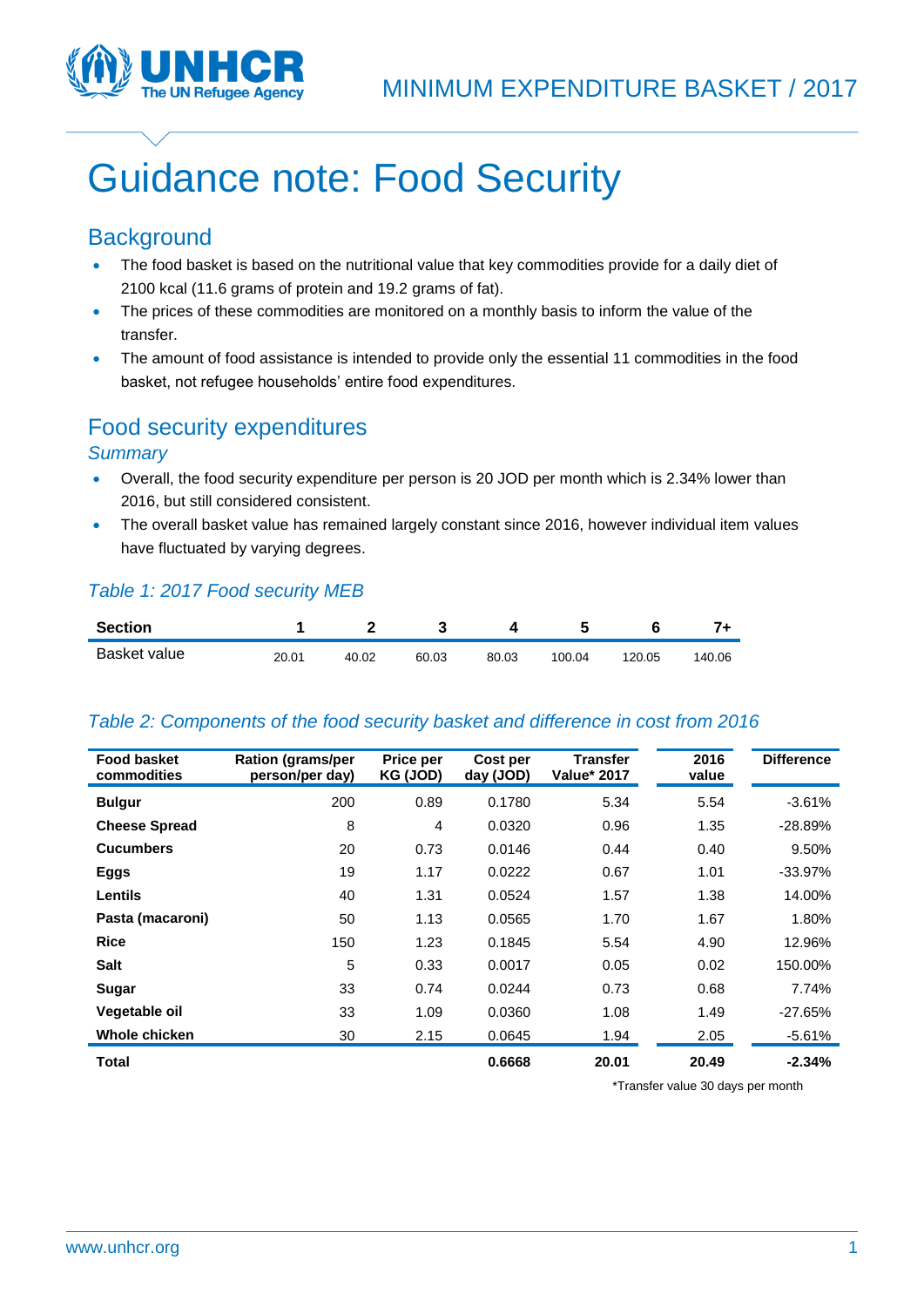

# Guidance note: Food Security

## **Background**

- The food basket is based on the nutritional value that key commodities provide for a daily diet of 2100 kcal (11.6 grams of protein and 19.2 grams of fat).
- The prices of these commodities are monitored on a monthly basis to inform the value of the transfer.
- The amount of food assistance is intended to provide only the essential 11 commodities in the food basket, not refugee households' entire food expenditures.

# Food security expenditures

## *Summary*

- Overall, the food security expenditure per person is 20 JOD per month which is 2.34% lower than 2016, but still considered consistent.
- The overall basket value has remained largely constant since 2016, however individual item values have fluctuated by varying degrees.

## *Table 1: 2017 Food security MEB*

| <b>Section</b> |       |       |       |       |        |        |        |
|----------------|-------|-------|-------|-------|--------|--------|--------|
| Basket value   | 20.01 | 40.02 | 60.03 | 80.03 | 100.04 | 120.05 | 140.06 |

## *Table 2: Components of the food security basket and difference in cost from 2016*

| <b>Food basket</b><br>commodities | <b>Ration (grams/per</b><br>person/per day) | Price per<br>KG (JOD) | Cost per<br>day (JOD) | <b>Transfer</b><br><b>Value* 2017</b> | 2016<br>value | <b>Difference</b> |
|-----------------------------------|---------------------------------------------|-----------------------|-----------------------|---------------------------------------|---------------|-------------------|
| <b>Bulgur</b>                     | 200                                         | 0.89                  | 0.1780                | 5.34                                  | 5.54          | $-3.61%$          |
| <b>Cheese Spread</b>              | 8                                           | $\overline{4}$        | 0.0320                | 0.96                                  | 1.35          | $-28.89%$         |
| <b>Cucumbers</b>                  | 20                                          | 0.73                  | 0.0146                | 0.44                                  | 0.40          | 9.50%             |
| Eggs                              | 19                                          | 1.17                  | 0.0222                | 0.67                                  | 1.01          | $-33.97%$         |
| <b>Lentils</b>                    | 40                                          | 1.31                  | 0.0524                | 1.57                                  | 1.38          | 14.00%            |
| Pasta (macaroni)                  | 50                                          | 1.13                  | 0.0565                | 1.70                                  | 1.67          | 1.80%             |
| <b>Rice</b>                       | 150                                         | 1.23                  | 0.1845                | 5.54                                  | 4.90          | 12.96%            |
| <b>Salt</b>                       | 5                                           | 0.33                  | 0.0017                | 0.05                                  | 0.02          | 150.00%           |
| Sugar                             | 33                                          | 0.74                  | 0.0244                | 0.73                                  | 0.68          | 7.74%             |
| Vegetable oil                     | 33                                          | 1.09                  | 0.0360                | 1.08                                  | 1.49          | $-27.65%$         |
| Whole chicken                     | 30                                          | 2.15                  | 0.0645                | 1.94                                  | 2.05          | $-5.61%$          |
| Total                             |                                             |                       | 0.6668                | 20.01                                 | 20.49         | $-2.34%$          |

\*Transfer value 30 days per month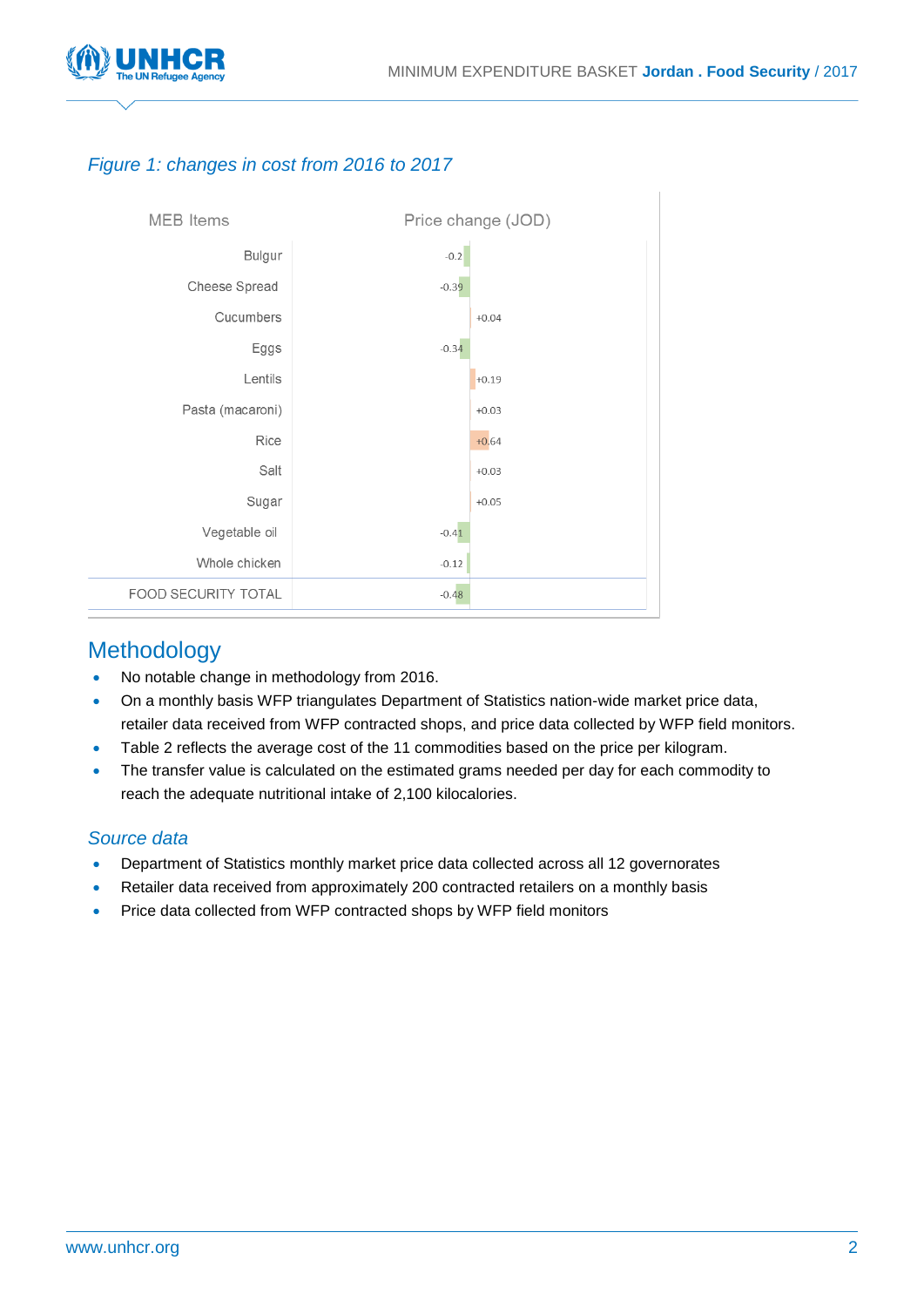

## *Figure 1: changes in cost from 2016 to 2017*



## Methodology

- No notable change in methodology from 2016.
- On a monthly basis WFP triangulates Department of Statistics nation-wide market price data, retailer data received from WFP contracted shops, and price data collected by WFP field monitors.
- Table 2 reflects the average cost of the 11 commodities based on the price per kilogram.
- The transfer value is calculated on the estimated grams needed per day for each commodity to reach the adequate nutritional intake of 2,100 kilocalories.

## *Source data*

- Department of Statistics monthly market price data collected across all 12 governorates
- Retailer data received from approximately 200 contracted retailers on a monthly basis
- Price data collected from WFP contracted shops by WFP field monitors